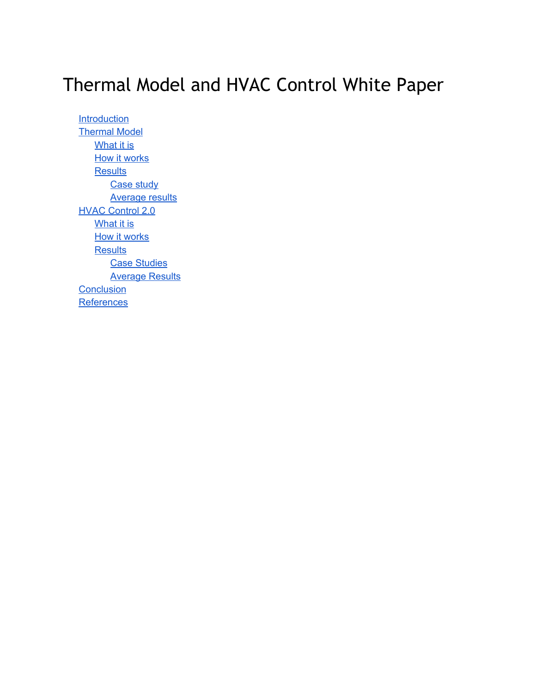# Thermal Model and HVAC Control White Paper

**[Introduction](#page-1-0)** [Thermal](#page-2-0) Model [What](#page-2-1) it is **How it [works](#page-2-2) [Results](#page-4-0)** Case [study](#page-4-1) [Average](#page-5-0) results HVAC [Control](#page-8-0) 2.0 [What](#page-8-1) it is **How it [works](#page-9-0) [Results](#page-11-0) Case [Studies](#page-11-1) [Average](#page-12-0) Results [Conclusion](#page-13-0) [References](#page-13-1)**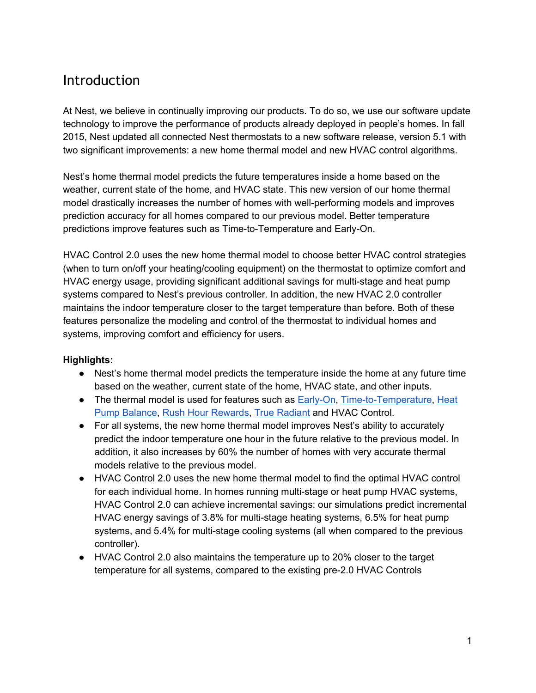### <span id="page-1-0"></span>Introduction

At Nest, we believe in continually improving our products. To do so, we use our software update technology to improve the performance of products already deployed in people's homes. In fall 2015, Nest updated all connected Nest thermostats to a new software release, version 5.1 with two significant improvements: a new home thermal model and new HVAC control algorithms.

Nest's home thermal model predicts the future temperatures inside a home based on the weather, current state of the home, and HVAC state. This new version of our home thermal model drastically increases the number of homes with well-performing models and improves prediction accuracy for all homes compared to our previous model. Better temperature predictions improve features such as Time-to-Temperature and Early-On.

HVAC Control 2.0 uses the new home thermal model to choose better HVAC control strategies (when to turn on/off your heating/cooling equipment) on the thermostat to optimize comfort and HVAC energy usage, providing significant additional savings for multi-stage and heat pump systems compared to Nest's previous controller. In addition, the new HVAC 2.0 controller maintains the indoor temperature closer to the target temperature than before. Both of these features personalize the modeling and control of the thermostat to individual homes and systems, improving comfort and efficiency for users.

#### **Highlights:**

- Nest's home thermal model predicts the temperature inside the home at any future time based on the weather, current state of the home, HVAC state, and other inputs.
- The thermal model is used for features such as Early-On, Time-to-Temperature, [Heat](https://nest.com/support/article/What-is-Heat-Pump-Balance) Pump [Balance,](https://nest.com/support/article/What-is-Heat-Pump-Balance) Rush Hour [Rewards,](https://nest.com/support/article/What-is-Rush-Hour-Rewards) True [Radiant](https://nest.com/support/article/What-is-True-Radiant) and HVAC Control.
- For all systems, the new home thermal model improves Nest's ability to accurately predict the indoor temperature one hour in the future relative to the previous model. In addition, it also increases by 60% the number of homes with very accurate thermal models relative to the previous model.
- HVAC Control 2.0 uses the new home thermal model to find the optimal HVAC control for each individual home. In homes running multi-stage or heat pump HVAC systems, HVAC Control 2.0 can achieve incremental savings: our simulations predict incremental HVAC energy savings of 3.8% for multi-stage heating systems, 6.5% for heat pump systems, and 5.4% for multi-stage cooling systems (all when compared to the previous controller).
- HVAC Control 2.0 also maintains the temperature up to 20% closer to the target temperature for all systems, compared to the existing pre-2.0 HVAC Controls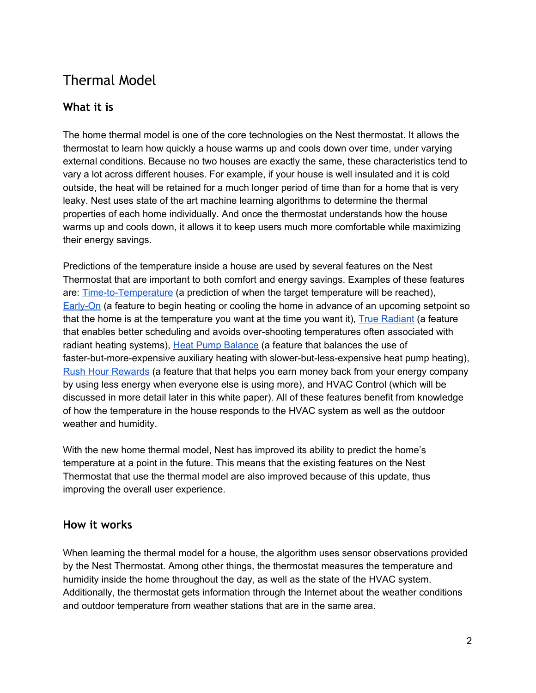### <span id="page-2-0"></span>Thermal Model

### <span id="page-2-1"></span>**What it is**

The home thermal model is one of the core technologies on the Nest thermostat. It allows the thermostat to learn how quickly a house warms up and cools down over time, under varying external conditions. Because no two houses are exactly the same, these characteristics tend to vary a lot across different houses. For example, if your house is well insulated and it is cold outside, the heat will be retained for a much longer period of time than for a home that is very leaky. Nest uses state of the art machine learning algorithms to determine the thermal properties of each home individually. And once the thermostat understands how the house warms up and cools down, it allows it to keep users much more comfortable while maximizing their energy savings.

Predictions of the temperature inside a house are used by several features on the Nest Thermostat that are important to both comfort and energy savings. Examples of these features are: Time-to-Temperature (a prediction of when the target temperature will be reached), Early-On (a feature to begin heating or cooling the home in advance of an upcoming setpoint so that the home is at the temperature you want at the time you want it), True [Radiant](https://nest.com/support/article/What-is-True-Radiant) (a feature that enables better scheduling and avoids over-shooting temperatures often associated with radiant heating systems), Heat Pump [Balance](https://nest.com/support/article/What-is-Heat-Pump-Balance) (a feature that balances the use of faster-but-more-expensive auxiliary heating with slower-but-less-expensive heat pump heating), Rush Hour [Rewards](https://nest.com/support/article/What-is-Rush-Hour-Rewards) (a feature that that helps you earn money back from your energy company by using less energy when everyone else is using more), and HVAC Control (which will be discussed in more detail later in this white paper). All of these features benefit from knowledge of how the temperature in the house responds to the HVAC system as well as the outdoor weather and humidity.

With the new home thermal model, Nest has improved its ability to predict the home's temperature at a point in the future. This means that the existing features on the Nest Thermostat that use the thermal model are also improved because of this update, thus improving the overall user experience.

### <span id="page-2-2"></span>**How it works**

When learning the thermal model for a house, the algorithm uses sensor observations provided by the Nest Thermostat. Among other things, the thermostat measures the temperature and humidity inside the home throughout the day, as well as the state of the HVAC system. Additionally, the thermostat gets information through the Internet about the weather conditions and outdoor temperature from weather stations that are in the same area.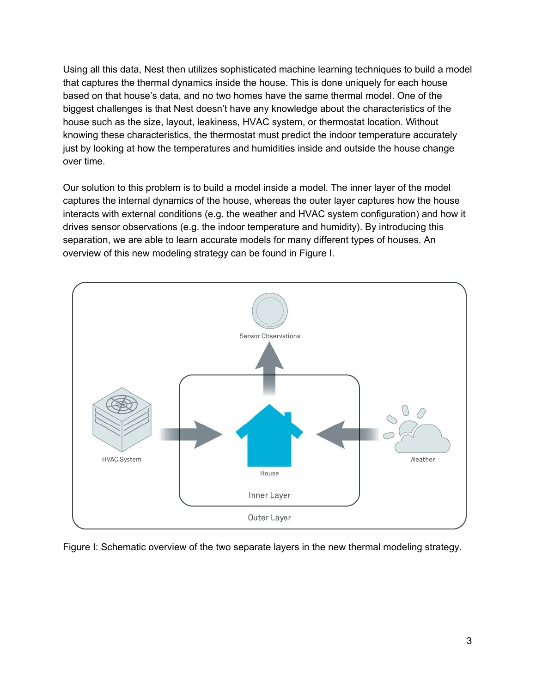Using all this data, Nest then utilizes sophisticated machine learning techniques to build a model that captures the thermal dynamics inside the house. This is done uniquely for each house based on that house's data, and no two homes have the same thermal model. One of the biggest challenges is that Nest doesn't have any knowledge about the characteristics of the house such as the size, layout, leakiness, HVAC system, or thermostat location. Without knowing these characteristics, the thermostat must predict the indoor temperature accurately just by looking at how the temperatures and humidities inside and outside the house change over time.

Our solution to this problem is to build a model inside a model. The inner layer of the model captures the internal dynamics of the house, whereas the outer layer captures how the house interacts with external conditions (e.g. the weather and HVAC system configuration) and how it drives sensor observations (e.g. the indoor temperature and humidity). By introducing this separation, we are able to learn accurate models for many different types of houses. An overview of this new modeling strategy can be found in Figure I.



Figure I: Schematic overview of the two separate layers in the new thermal modeling strategy.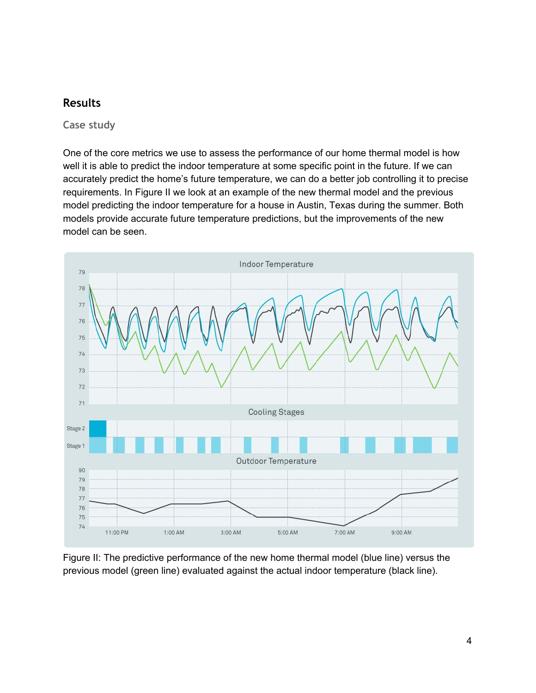### <span id="page-4-0"></span>**Results**

<span id="page-4-1"></span>**Case study**

One of the core metrics we use to assess the performance of our home thermal model is how well it is able to predict the indoor temperature at some specific point in the future. If we can accurately predict the home's future temperature, we can do a better job controlling it to precise requirements. In Figure II we look at an example of the new thermal model and the previous model predicting the indoor temperature for a house in Austin, Texas during the summer. Both models provide accurate future temperature predictions, but the improvements of the new model can be seen.



Figure II: The predictive performance of the new home thermal model (blue line) versus the previous model (green line) evaluated against the actual indoor temperature (black line).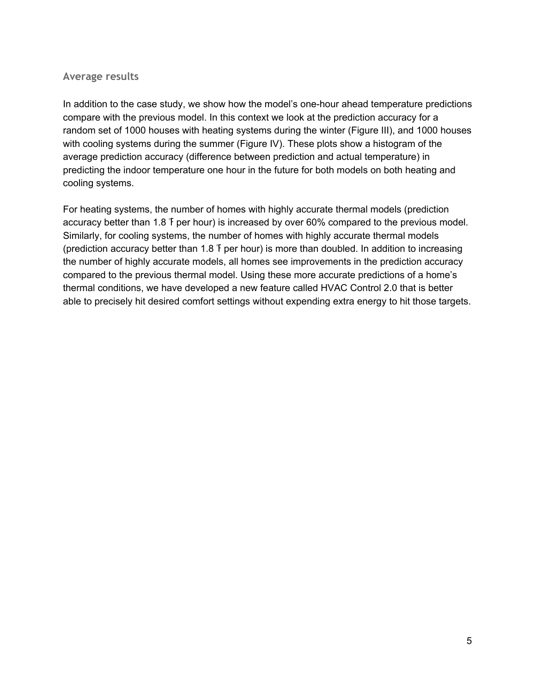#### <span id="page-5-0"></span>**Average results**

In addition to the case study, we show how the model's one-hour ahead temperature predictions compare with the previous model. In this context we look at the prediction accuracy for a random set of 1000 houses with heating systems during the winter (Figure III), and 1000 houses with cooling systems during the summer (Figure IV). These plots show a histogram of the average prediction accuracy (difference between prediction and actual temperature) in predicting the indoor temperature one hour in the future for both models on both heating and cooling systems.

For heating systems, the number of homes with highly accurate thermal models (prediction accuracy better than 1.8 ℉per hour) is increased by over 60% compared to the previous model. Similarly, for cooling systems, the number of homes with highly accurate thermal models (prediction accuracy better than 1.8 F per hour) is more than doubled. In addition to increasing the number of highly accurate models, all homes see improvements in the prediction accuracy compared to the previous thermal model. Using these more accurate predictions of a home's thermal conditions, we have developed a new feature called HVAC Control 2.0 that is better able to precisely hit desired comfort settings without expending extra energy to hit those targets.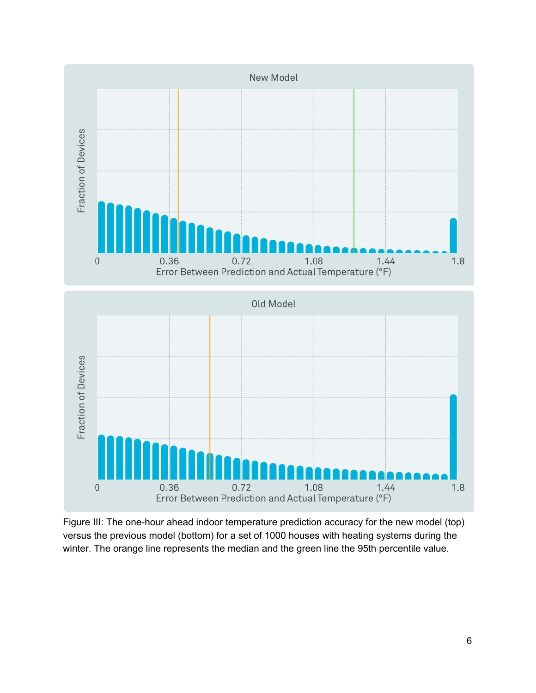

Figure III: The one-hour ahead indoor temperature prediction accuracy for the new model (top) versus the previous model (bottom) for a set of 1000 houses with heating systems during the winter. The orange line represents the median and the green line the 95th percentile value.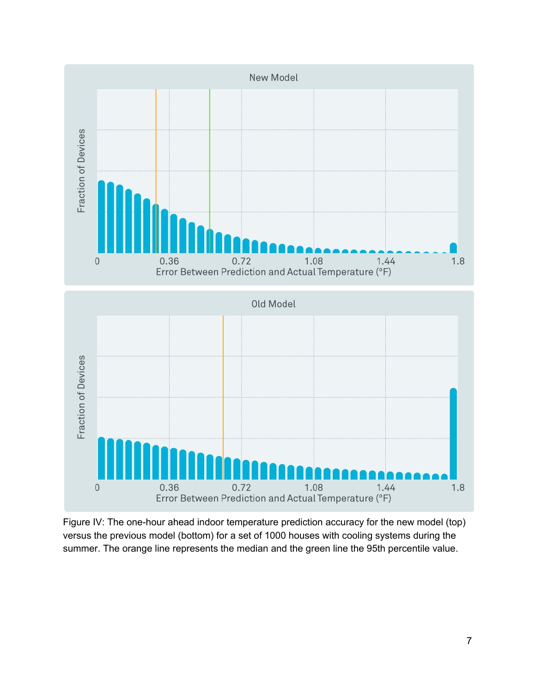

Figure IV: The one-hour ahead indoor temperature prediction accuracy for the new model (top) versus the previous model (bottom) for a set of 1000 houses with cooling systems during the summer. The orange line represents the median and the green line the 95th percentile value.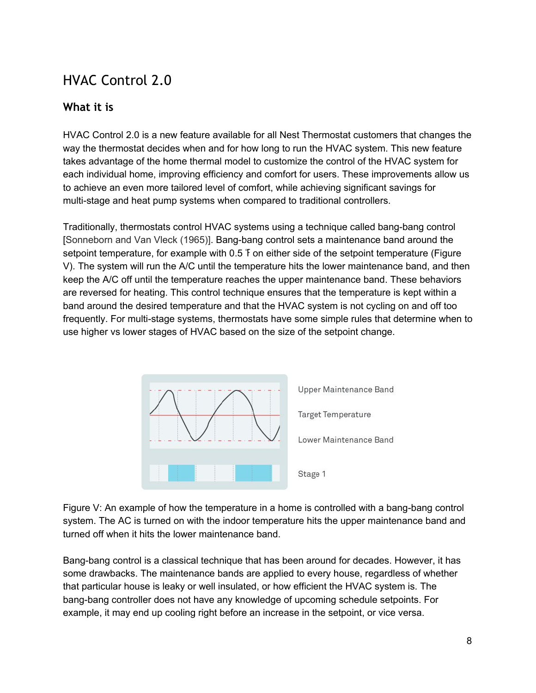## <span id="page-8-0"></span>HVAC Control 2.0

### <span id="page-8-1"></span>**What it is**

HVAC Control 2.0 is a new feature available for all Nest Thermostat customers that changes the way the thermostat decides when and for how long to run the HVAC system. This new feature takes advantage of the home thermal model to customize the control of the HVAC system for each individual home, improving efficiency and comfort for users. These improvements allow us to achieve an even more tailored level of comfort, while achieving significant savings for multi-stage and heat pump systems when compared to traditional controllers.

Traditionally, thermostats control HVAC systems using a technique called bangbang control [Sonneborn and Van Vleck (1965)]. Bang-bang control sets a maintenance band around the setpoint temperature, for example with 0.5 f on either side of the setpoint temperature (Figure V). The system will run the A/C until the temperature hits the lower maintenance band, and then keep the A/C off until the temperature reaches the upper maintenance band. These behaviors are reversed for heating. This control technique ensures that the temperature is kept within a band around the desired temperature and that the HVAC system is not cycling on and off too frequently. For multi-stage systems, thermostats have some simple rules that determine when to use higher vs lower stages of HVAC based on the size of the setpoint change.



Figure V: An example of how the temperature in a home is controlled with a bang-bang control system. The AC is turned on with the indoor temperature hits the upper maintenance band and turned off when it hits the lower maintenance band.

Bang-bang control is a classical technique that has been around for decades. However, it has some drawbacks. The maintenance bands are applied to every house, regardless of whether that particular house is leaky or well insulated, or how efficient the HVAC system is. The bang-bang controller does not have any knowledge of upcoming schedule setpoints. For example, it may end up cooling right before an increase in the setpoint, or vice versa.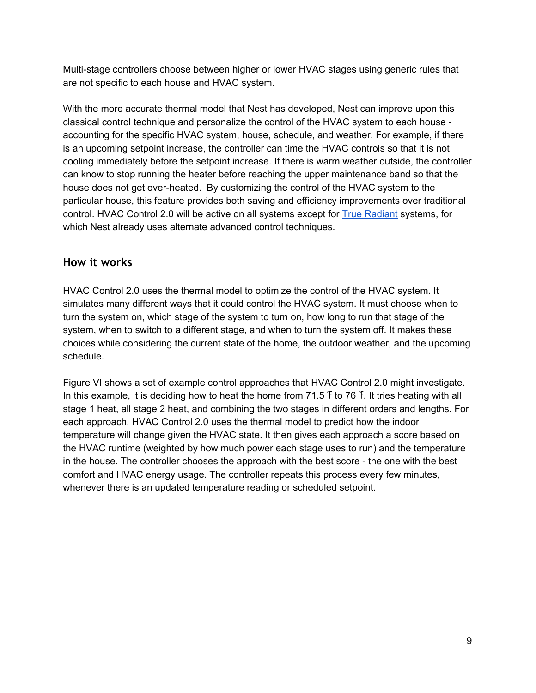Multi-stage controllers choose between higher or lower HVAC stages using generic rules that are not specific to each house and HVAC system.

With the more accurate thermal model that Nest has developed, Nest can improve upon this classical control technique and personalize the control of the HVAC system to each house accounting for the specific HVAC system, house, schedule, and weather. For example, if there is an upcoming setpoint increase, the controller can time the HVAC controls so that it is not cooling immediately before the setpoint increase. If there is warm weather outside, the controller can know to stop running the heater before reaching the upper maintenance band so that the house does not get over-heated. By customizing the control of the HVAC system to the particular house, this feature provides both saving and efficiency improvements over traditional control. HVAC Control 2.0 will be active on all systems except for True [Radiant](https://nest.com/support/article/What-is-True-Radiant) systems, for which Nest already uses alternate advanced control techniques.

### <span id="page-9-0"></span>**How it works**

HVAC Control 2.0 uses the thermal model to optimize the control of the HVAC system. It simulates many different ways that it could control the HVAC system. It must choose when to turn the system on, which stage of the system to turn on, how long to run that stage of the system, when to switch to a different stage, and when to turn the system off. It makes these choices while considering the current state of the home, the outdoor weather, and the upcoming schedule.

Figure VI shows a set of example control approaches that HVAC Control 2.0 might investigate. In this example, it is deciding how to heat the home from 71.5 F to 76 F. It tries heating with all stage 1 heat, all stage 2 heat, and combining the two stages in different orders and lengths. For each approach, HVAC Control 2.0 uses the thermal model to predict how the indoor temperature will change given the HVAC state. It then gives each approach a score based on the HVAC runtime (weighted by how much power each stage uses to run) and the temperature in the house. The controller chooses the approach with the best score - the one with the best comfort and HVAC energy usage. The controller repeats this process every few minutes, whenever there is an updated temperature reading or scheduled setpoint.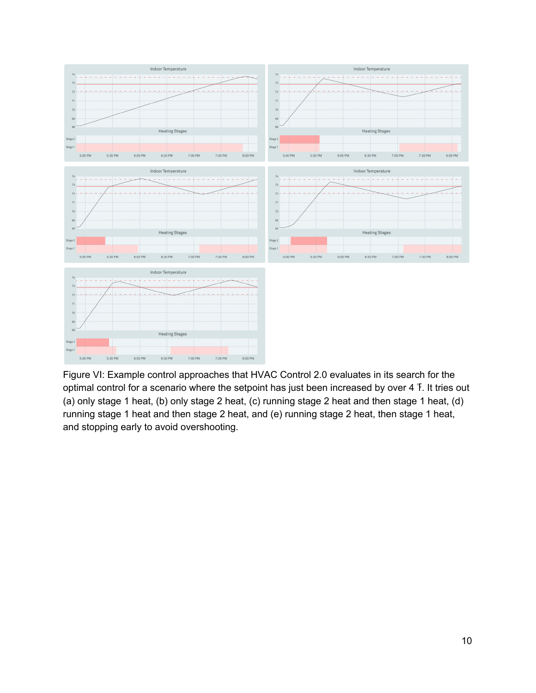

Figure VI: Example control approaches that HVAC Control 2.0 evaluates in its search for the optimal control for a scenario where the setpoint has just been increased by over 4 ℉. It tries out (a) only stage 1 heat, (b) only stage 2 heat, (c) running stage 2 heat and then stage 1 heat, (d) running stage 1 heat and then stage 2 heat, and (e) running stage 2 heat, then stage 1 heat, and stopping early to avoid overshooting.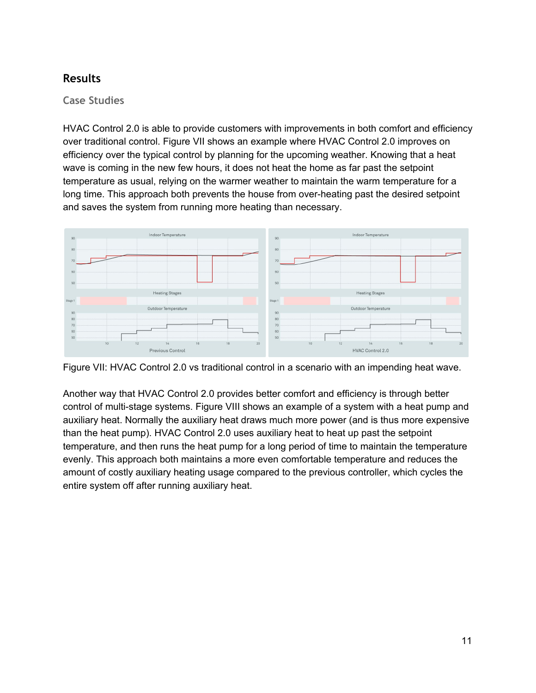### <span id="page-11-0"></span>**Results**

#### <span id="page-11-1"></span>**Case Studies**

HVAC Control 2.0 is able to provide customers with improvements in both comfort and efficiency over traditional control. Figure VII shows an example where HVAC Control 2.0 improves on efficiency over the typical control by planning for the upcoming weather. Knowing that a heat wave is coming in the new few hours, it does not heat the home as far past the setpoint temperature as usual, relying on the warmer weather to maintain the warm temperature for a long time. This approach both prevents the house from over-heating past the desired setpoint and saves the system from running more heating than necessary.



Figure VII: HVAC Control 2.0 vs traditional control in a scenario with an impending heat wave.

Another way that HVAC Control 2.0 provides better comfort and efficiency is through better control of multi-stage systems. Figure VIII shows an example of a system with a heat pump and auxiliary heat. Normally the auxiliary heat draws much more power (and is thus more expensive than the heat pump). HVAC Control 2.0 uses auxiliary heat to heat up past the setpoint temperature, and then runs the heat pump for a long period of time to maintain the temperature evenly. This approach both maintains a more even comfortable temperature and reduces the amount of costly auxiliary heating usage compared to the previous controller, which cycles the entire system off after running auxiliary heat.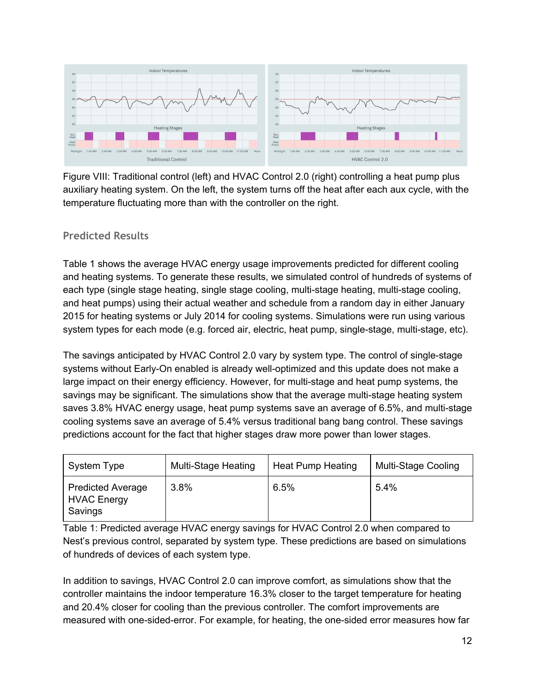

Figure VIII: Traditional control (left) and HVAC Control 2.0 (right) controlling a heat pump plus auxiliary heating system. On the left, the system turns off the heat after each aux cycle, with the temperature fluctuating more than with the controller on the right.

### <span id="page-12-0"></span>**Predicted Results**

Table 1 shows the average HVAC energy usage improvements predicted for different cooling and heating systems. To generate these results, we simulated control of hundreds of systems of each type (single stage heating, single stage cooling, multi-stage heating, multi-stage cooling, and heat pumps) using their actual weather and schedule from a random day in either January 2015 for heating systems or July 2014 for cooling systems. Simulations were run using various system types for each mode (e.g. forced air, electric, heat pump, single-stage, multi-stage, etc).

The savings anticipated by HVAC Control 2.0 vary by system type. The control of single-stage systems without Early-On enabled is already well-optimized and this update does not make a large impact on their energy efficiency. However, for multi-stage and heat pump systems, the savings may be significant. The simulations show that the average multi-stage heating system saves 3.8% HVAC energy usage, heat pump systems save an average of 6.5%, and multi-stage cooling systems save an average of 5.4% versus traditional bang bang control. These savings predictions account for the fact that higher stages draw more power than lower stages.

| System Type                                               | Multi-Stage Heating | Heat Pump Heating | Multi-Stage Cooling |
|-----------------------------------------------------------|---------------------|-------------------|---------------------|
| <b>Predicted Average</b><br><b>HVAC Energy</b><br>Savings | 3.8%                | 6.5%              | 5.4%                |

Table 1: Predicted average HVAC energy savings for HVAC Control 2.0 when compared to Nest's previous control, separated by system type. These predictions are based on simulations of hundreds of devices of each system type.

In addition to savings, HVAC Control 2.0 can improve comfort, as simulations show that the controller maintains the indoor temperature 16.3% closer to the target temperature for heating and 20.4% closer for cooling than the previous controller. The comfort improvements are measured with one-sided-error. For example, for heating, the one-sided error measures how far